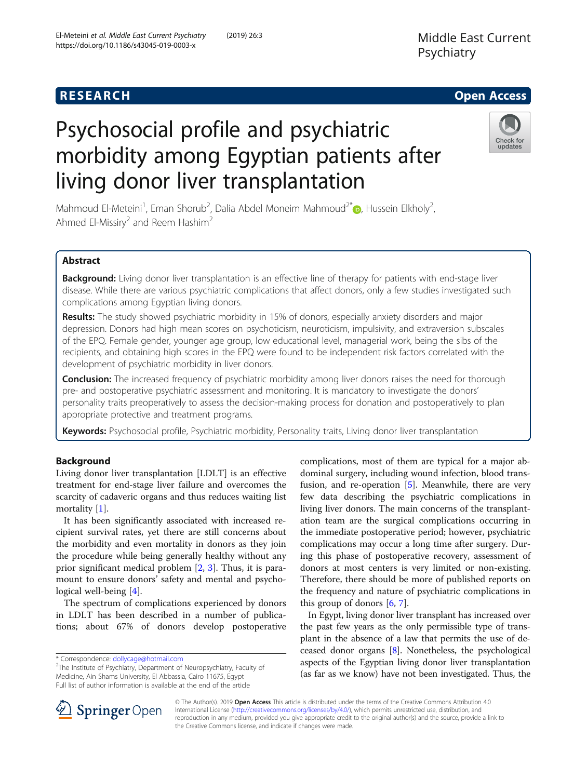# **RESEARCH CHE Open Access**

# Psychosocial profile and psychiatric morbidity among Egyptian patients after living donor liver transplantation



Mahmoud El-Meteini<sup>1</sup>[,](http://orcid.org/0000-0002-2832-7246) Eman Shorub<sup>2</sup>, Dalia Abdel Moneim Mahmoud<sup>2\*</sup> (D, Hussein Elkholy<sup>2</sup> , Ahmed El-Missiry<sup>2</sup> and Reem Hashim<sup>2</sup>

# Abstract

Background: Living donor liver transplantation is an effective line of therapy for patients with end-stage liver disease. While there are various psychiatric complications that affect donors, only a few studies investigated such complications among Egyptian living donors.

Results: The study showed psychiatric morbidity in 15% of donors, especially anxiety disorders and major depression. Donors had high mean scores on psychoticism, neuroticism, impulsivity, and extraversion subscales of the EPQ. Female gender, younger age group, low educational level, managerial work, being the sibs of the recipients, and obtaining high scores in the EPQ were found to be independent risk factors correlated with the development of psychiatric morbidity in liver donors.

**Conclusion:** The increased frequency of psychiatric morbidity among liver donors raises the need for thorough pre- and postoperative psychiatric assessment and monitoring. It is mandatory to investigate the donors' personality traits preoperatively to assess the decision-making process for donation and postoperatively to plan appropriate protective and treatment programs.

Keywords: Psychosocial profile, Psychiatric morbidity, Personality traits, Living donor liver transplantation

# Background

Living donor liver transplantation [LDLT] is an effective treatment for end-stage liver failure and overcomes the scarcity of cadaveric organs and thus reduces waiting list mortality [[1\]](#page-6-0).

It has been significantly associated with increased recipient survival rates, yet there are still concerns about the morbidity and even mortality in donors as they join the procedure while being generally healthy without any prior significant medical problem [[2,](#page-6-0) [3\]](#page-6-0). Thus, it is paramount to ensure donors' safety and mental and psychological well-being [\[4](#page-6-0)].

The spectrum of complications experienced by donors in LDLT has been described in a number of publications; about 67% of donors develop postoperative

 $2$ The Institute of Psychiatry, Department of Neuropsychiatry, Faculty of Medicine, Ain Shams University, El Abbassia, Cairo 11675, Egypt Full list of author information is available at the end of the article

complications, most of them are typical for a major abdominal surgery, including wound infection, blood transfusion, and re-operation [[5\]](#page-6-0). Meanwhile, there are very few data describing the psychiatric complications in living liver donors. The main concerns of the transplantation team are the surgical complications occurring in the immediate postoperative period; however, psychiatric complications may occur a long time after surgery. During this phase of postoperative recovery, assessment of donors at most centers is very limited or non-existing. Therefore, there should be more of published reports on the frequency and nature of psychiatric complications in this group of donors [[6,](#page-6-0) [7\]](#page-7-0).

In Egypt, living donor liver transplant has increased over the past few years as the only permissible type of transplant in the absence of a law that permits the use of deceased donor organs [\[8\]](#page-7-0). Nonetheless, the psychological aspects of the Egyptian living donor liver transplantation (as far as we know) have not been investigated. Thus, the



© The Author(s). 2019 Open Access This article is distributed under the terms of the Creative Commons Attribution 4.0 International License ([http://creativecommons.org/licenses/by/4.0/\)](http://creativecommons.org/licenses/by/4.0/), which permits unrestricted use, distribution, and reproduction in any medium, provided you give appropriate credit to the original author(s) and the source, provide a link to the Creative Commons license, and indicate if changes were made.

<sup>\*</sup> Correspondence: [dollycage@hotmail.com](mailto:dollycage@hotmail.com) <sup>2</sup>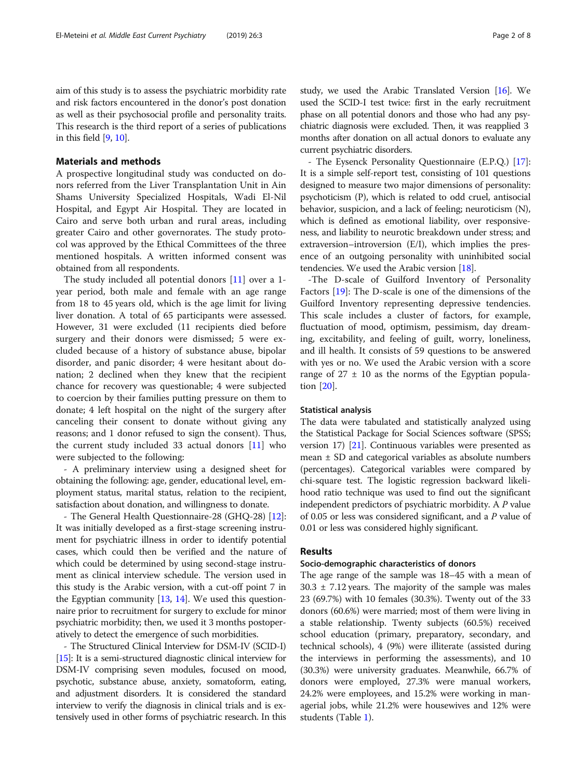aim of this study is to assess the psychiatric morbidity rate and risk factors encountered in the donor's post donation as well as their psychosocial profile and personality traits. This research is the third report of a series of publications in this field [\[9,](#page-7-0) [10](#page-7-0)].

### Materials and methods

A prospective longitudinal study was conducted on donors referred from the Liver Transplantation Unit in Ain Shams University Specialized Hospitals, Wadi El-Nil Hospital, and Egypt Air Hospital. They are located in Cairo and serve both urban and rural areas, including greater Cairo and other governorates. The study protocol was approved by the Ethical Committees of the three mentioned hospitals. A written informed consent was obtained from all respondents.

The study included all potential donors [\[11](#page-7-0)] over a 1 year period, both male and female with an age range from 18 to 45 years old, which is the age limit for living liver donation. A total of 65 participants were assessed. However, 31 were excluded (11 recipients died before surgery and their donors were dismissed; 5 were excluded because of a history of substance abuse, bipolar disorder, and panic disorder; 4 were hesitant about donation; 2 declined when they knew that the recipient chance for recovery was questionable; 4 were subjected to coercion by their families putting pressure on them to donate; 4 left hospital on the night of the surgery after canceling their consent to donate without giving any reasons; and 1 donor refused to sign the consent). Thus, the current study included 33 actual donors [[11](#page-7-0)] who were subjected to the following:

- A preliminary interview using a designed sheet for obtaining the following: age, gender, educational level, employment status, marital status, relation to the recipient, satisfaction about donation, and willingness to donate.

- The General Health Questionnaire-28 (GHQ-28) [[12](#page-7-0)]: It was initially developed as a first-stage screening instrument for psychiatric illness in order to identify potential cases, which could then be verified and the nature of which could be determined by using second-stage instrument as clinical interview schedule. The version used in this study is the Arabic version, with a cut-off point 7 in the Egyptian community  $[13, 14]$  $[13, 14]$  $[13, 14]$  $[13, 14]$  $[13, 14]$ . We used this questionnaire prior to recruitment for surgery to exclude for minor psychiatric morbidity; then, we used it 3 months postoperatively to detect the emergence of such morbidities.

- The Structured Clinical Interview for DSM-IV (SCID-I) [[15](#page-7-0)]: It is a semi-structured diagnostic clinical interview for DSM-IV comprising seven modules, focused on mood, psychotic, substance abuse, anxiety, somatoform, eating, and adjustment disorders. It is considered the standard interview to verify the diagnosis in clinical trials and is extensively used in other forms of psychiatric research. In this study, we used the Arabic Translated Version [\[16](#page-7-0)]. We used the SCID-I test twice: first in the early recruitment phase on all potential donors and those who had any psychiatric diagnosis were excluded. Then, it was reapplied 3 months after donation on all actual donors to evaluate any current psychiatric disorders.

- The Eysenck Personality Questionnaire (E.P.Q.) [[17](#page-7-0)]: It is a simple self-report test, consisting of 101 questions designed to measure two major dimensions of personality: psychoticism (P), which is related to odd cruel, antisocial behavior, suspicion, and a lack of feeling; neuroticism (N), which is defined as emotional liability, over responsiveness, and liability to neurotic breakdown under stress; and extraversion–introversion (E/I), which implies the presence of an outgoing personality with uninhibited social tendencies. We used the Arabic version [\[18](#page-7-0)].

-The D-scale of Guilford Inventory of Personality Factors [[19](#page-7-0)]: The D-scale is one of the dimensions of the Guilford Inventory representing depressive tendencies. This scale includes a cluster of factors, for example, fluctuation of mood, optimism, pessimism, day dreaming, excitability, and feeling of guilt, worry, loneliness, and ill health. It consists of 59 questions to be answered with yes or no. We used the Arabic version with a score range of  $27 \pm 10$  as the norms of the Egyptian population [\[20\]](#page-7-0).

#### Statistical analysis

The data were tabulated and statistically analyzed using the Statistical Package for Social Sciences software (SPSS; version 17) [\[21\]](#page-7-0). Continuous variables were presented as mean ± SD and categorical variables as absolute numbers (percentages). Categorical variables were compared by chi-square test. The logistic regression backward likelihood ratio technique was used to find out the significant independent predictors of psychiatric morbidity. A P value of 0.05 or less was considered significant, and a P value of 0.01 or less was considered highly significant.

#### Results

### Socio-demographic characteristics of donors

The age range of the sample was 18–45 with a mean of  $30.3 \pm 7.12$  years. The majority of the sample was males 23 (69.7%) with 10 females (30.3%). Twenty out of the 33 donors (60.6%) were married; most of them were living in a stable relationship. Twenty subjects (60.5%) received school education (primary, preparatory, secondary, and technical schools), 4 (9%) were illiterate (assisted during the interviews in performing the assessments), and 10 (30.3%) were university graduates. Meanwhile, 66.7% of donors were employed, 27.3% were manual workers, 24.2% were employees, and 15.2% were working in managerial jobs, while 21.2% were housewives and 12% were students (Table [1](#page-2-0)).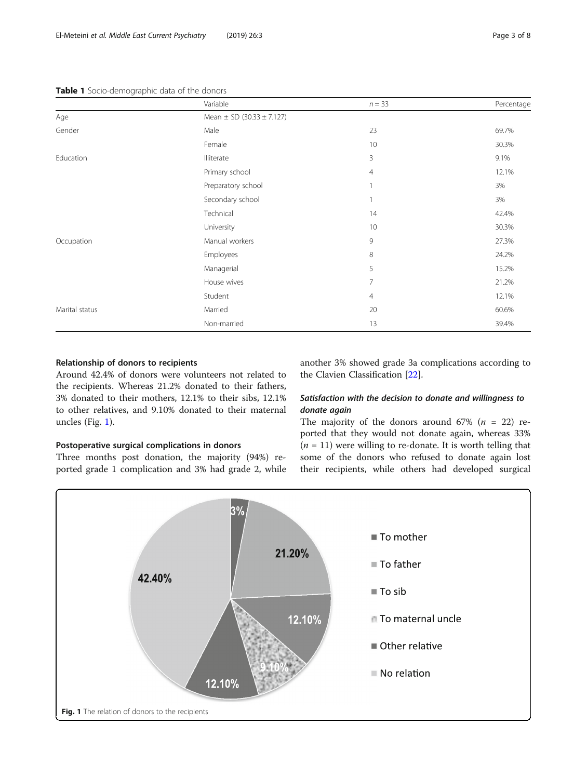#### <span id="page-2-0"></span>Table 1 Socio-demographic data of the donors

|                | Variable                          | $n = 33$       | Percentage |
|----------------|-----------------------------------|----------------|------------|
| Age            | Mean $\pm$ SD (30.33 $\pm$ 7.127) |                |            |
| Gender         | Male                              | 23             | 69.7%      |
|                | Female                            | 10             | 30.3%      |
| Education      | Illiterate                        | 3              | 9.1%       |
|                | Primary school                    | $\overline{4}$ | 12.1%      |
|                | Preparatory school                | 1              | 3%         |
|                | Secondary school                  | 1              | 3%         |
|                | Technical                         | 14             | 42.4%      |
|                | University                        | 10             | 30.3%      |
| Occupation     | Manual workers                    | 9              | 27.3%      |
|                | Employees                         | 8              | 24.2%      |
|                | Managerial                        | 5              | 15.2%      |
|                | House wives                       | 7              | 21.2%      |
|                | Student                           | 4              | 12.1%      |
| Marital status | Married                           | 20             | 60.6%      |
|                | Non-married                       | 13             | 39.4%      |

#### Relationship of donors to recipients

Around 42.4% of donors were volunteers not related to the recipients. Whereas 21.2% donated to their fathers, 3% donated to their mothers, 12.1% to their sibs, 12.1% to other relatives, and 9.10% donated to their maternal uncles (Fig. 1).

## Postoperative surgical complications in donors

Three months post donation, the majority (94%) reported grade 1 complication and 3% had grade 2, while another 3% showed grade 3a complications according to the Clavien Classification [\[22](#page-7-0)].

# Satisfaction with the decision to donate and willingness to donate again

The majority of the donors around 67% ( $n = 22$ ) reported that they would not donate again, whereas 33%  $(n = 11)$  were willing to re-donate. It is worth telling that some of the donors who refused to donate again lost their recipients, while others had developed surgical

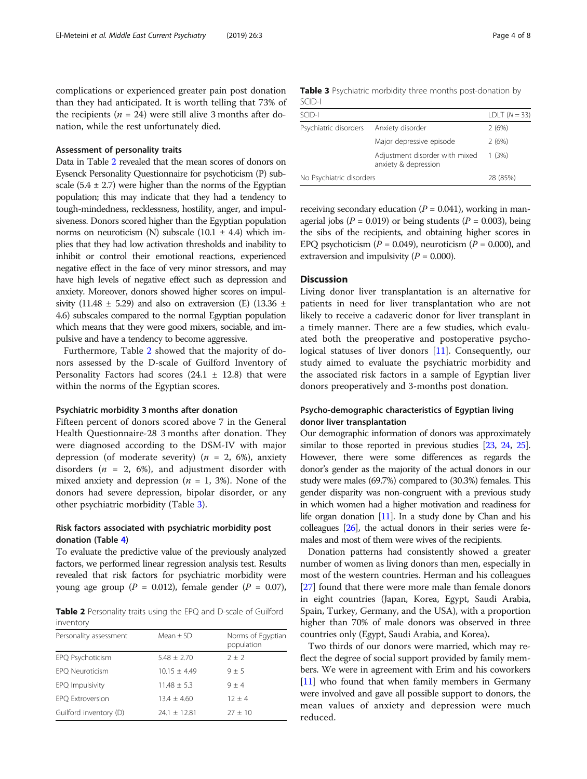complications or experienced greater pain post donation than they had anticipated. It is worth telling that 73% of the recipients ( $n = 24$ ) were still alive 3 months after donation, while the rest unfortunately died.

#### Assessment of personality traits

Data in Table 2 revealed that the mean scores of donors on Eysenck Personality Questionnaire for psychoticism (P) subscale  $(5.4 \pm 2.7)$  were higher than the norms of the Egyptian population; this may indicate that they had a tendency to tough-mindedness, recklessness, hostility, anger, and impulsiveness. Donors scored higher than the Egyptian population norms on neuroticism (N) subscale  $(10.1 \pm 4.4)$  which implies that they had low activation thresholds and inability to inhibit or control their emotional reactions, experienced negative effect in the face of very minor stressors, and may have high levels of negative effect such as depression and anxiety. Moreover, donors showed higher scores on impulsivity (11.48  $\pm$  5.29) and also on extraversion (E) (13.36  $\pm$ 4.6) subscales compared to the normal Egyptian population which means that they were good mixers, sociable, and impulsive and have a tendency to become aggressive.

Furthermore, Table 2 showed that the majority of donors assessed by the D-scale of Guilford Inventory of Personality Factors had scores  $(24.1 \pm 12.8)$  that were within the norms of the Egyptian scores.

#### Psychiatric morbidity 3 months after donation

Fifteen percent of donors scored above 7 in the General Health Questionnaire-28 3 months after donation. They were diagnosed according to the DSM-IV with major depression (of moderate severity) ( $n = 2, 6\%$ ), anxiety disorders ( $n = 2, 6\%)$ , and adjustment disorder with mixed anxiety and depression ( $n = 1, 3\%$ ). None of the donors had severe depression, bipolar disorder, or any other psychiatric morbidity (Table 3).

# Risk factors associated with psychiatric morbidity post donation (Table [4\)](#page-4-0)

To evaluate the predictive value of the previously analyzed factors, we performed linear regression analysis test. Results revealed that risk factors for psychiatric morbidity were young age group ( $P = 0.012$ ), female gender ( $P = 0.07$ ),

Table 2 Personality traits using the EPQ and D-scale of Guilford inventory

| Personality assessment | Mean $\pm$ SD    | Norms of Eqyptian<br>population |
|------------------------|------------------|---------------------------------|
| EPQ Psychoticism       | $5.48 + 2.70$    | $2 + 2$                         |
| EPQ Neuroticism        | $10.15 + 4.49$   | $9 + 5$                         |
| EPQ Impulsivity        | $11.48 \pm 5.3$  | $9 + 4$                         |
| EPQ Extroversion       | $13.4 + 4.60$    | $12 + 4$                        |
| Guilford inventory (D) | $24.1 \pm 12.81$ | $27 + 10$                       |

|        |  |  | <b>Table 3</b> Psychiatric morbidity three months post-donation by |  |
|--------|--|--|--------------------------------------------------------------------|--|
| SCID-I |  |  |                                                                    |  |

| SCID-I                   |                                                        | LDLT $(N = 33)$ |
|--------------------------|--------------------------------------------------------|-----------------|
| Psychiatric disorders    | Anxiety disorder                                       | 2(6%)           |
|                          | Major depressive episode                               | 2(6%)           |
|                          | Adjustment disorder with mixed<br>anxiety & depression | 1(3%)           |
| No Psychiatric disorders |                                                        | 28 (85%)        |

receiving secondary education ( $P = 0.041$ ), working in managerial jobs ( $P = 0.019$ ) or being students ( $P = 0.003$ ), being the sibs of the recipients, and obtaining higher scores in EPQ psychoticism ( $P = 0.049$ ), neuroticism ( $P = 0.000$ ), and extraversion and impulsivity ( $P = 0.000$ ).

### **Discussion**

Living donor liver transplantation is an alternative for patients in need for liver transplantation who are not likely to receive a cadaveric donor for liver transplant in a timely manner. There are a few studies, which evaluated both the preoperative and postoperative psychological statuses of liver donors [\[11](#page-7-0)]. Consequently, our study aimed to evaluate the psychiatric morbidity and the associated risk factors in a sample of Egyptian liver donors preoperatively and 3-months post donation.

# Psycho-demographic characteristics of Egyptian living donor liver transplantation

Our demographic information of donors was approximately similar to those reported in previous studies [\[23](#page-7-0), [24,](#page-7-0) [25](#page-7-0)]. However, there were some differences as regards the donor's gender as the majority of the actual donors in our study were males (69.7%) compared to (30.3%) females. This gender disparity was non-congruent with a previous study in which women had a higher motivation and readiness for life organ donation [\[11](#page-7-0)]. In a study done by Chan and his colleagues [\[26\]](#page-7-0), the actual donors in their series were females and most of them were wives of the recipients.

Donation patterns had consistently showed a greater number of women as living donors than men, especially in most of the western countries. Herman and his colleagues [[27](#page-7-0)] found that there were more male than female donors in eight countries (Japan, Korea, Egypt, Saudi Arabia, Spain, Turkey, Germany, and the USA), with a proportion higher than 70% of male donors was observed in three countries only (Egypt, Saudi Arabia, and Korea).

Two thirds of our donors were married, which may reflect the degree of social support provided by family members. We were in agreement with Erim and his coworkers [[11](#page-7-0)] who found that when family members in Germany were involved and gave all possible support to donors, the mean values of anxiety and depression were much reduced.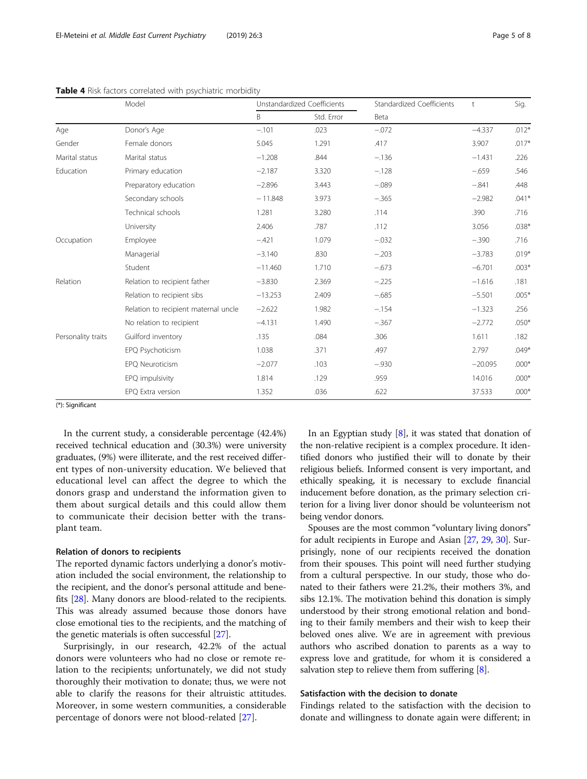|                    | Model                                | Unstandardized Coefficients |            | Standardized Coefficients | t         | Sig.    |
|--------------------|--------------------------------------|-----------------------------|------------|---------------------------|-----------|---------|
|                    |                                      | B                           | Std. Error | Beta                      |           |         |
| Age                | Donor's Age                          | $-.101$                     | .023       | $-.072$                   | $-4.337$  | $.012*$ |
| Gender             | Female donors                        | 5.045                       | 1.291      | .417                      | 3.907     | $.017*$ |
| Marital status     | Marital status                       | $-1.208$                    | .844       | $-.136$                   | $-1.431$  | .226    |
| Education          | Primary education                    | $-2.187$                    | 3.320      | $-.128$                   | $-.659$   | .546    |
|                    | Preparatory education                | $-2.896$                    | 3.443      | $-.089$                   | $-.841$   | .448    |
|                    | Secondary schools                    | $-11.848$                   | 3.973      | $-.365$                   | $-2.982$  | $.041*$ |
|                    | Technical schools                    | 1.281                       | 3.280      | .114                      | .390      | .716    |
|                    | University                           | 2.406                       | .787       | .112                      | 3.056     | $.038*$ |
| Occupation         | Employee                             | $-.421$                     | 1.079      | $-.032$                   | $-.390$   | .716    |
|                    | Managerial                           | $-3.140$                    | .830       | $-.203$                   | $-3.783$  | $.019*$ |
|                    | Student                              | $-11.460$                   | 1.710      | $-.673$                   | $-6.701$  | $.003*$ |
| Relation           | Relation to recipient father         | $-3.830$                    | 2.369      | $-.225$                   | $-1.616$  | .181    |
|                    | Relation to recipient sibs           | $-13.253$                   | 2.409      | $-.685$                   | $-5.501$  | $.005*$ |
|                    | Relation to recipient maternal uncle | $-2.622$                    | 1.982      | $-.154$                   | $-1.323$  | .256    |
|                    | No relation to recipient             | $-4.131$                    | 1.490      | $-.367$                   | $-2.772$  | $.050*$ |
| Personality traits | Guilford inventory                   | .135                        | .084       | .306                      | 1.611     | .182    |
|                    | EPQ Psychoticism                     | 1.038                       | .371       | .497                      | 2.797     | $.049*$ |
|                    | EPO Neuroticism                      | $-2.077$                    | .103       | $-.930$                   | $-20.095$ | $.000*$ |
|                    | EPQ impulsivity                      | 1.814                       | .129       | .959                      | 14.016    | $.000*$ |
|                    | EPQ Extra version                    | 1.352                       | .036       | .622                      | 37.533    | $.000*$ |

<span id="page-4-0"></span>Table 4 Risk factors correlated with psychiatric morbidity

(\*): Significant

In the current study, a considerable percentage (42.4%) received technical education and (30.3%) were university graduates, (9%) were illiterate, and the rest received different types of non-university education. We believed that educational level can affect the degree to which the donors grasp and understand the information given to them about surgical details and this could allow them to communicate their decision better with the transplant team.

#### Relation of donors to recipients

The reported dynamic factors underlying a donor's motivation included the social environment, the relationship to the recipient, and the donor's personal attitude and benefits [\[28\]](#page-7-0). Many donors are blood-related to the recipients. This was already assumed because those donors have close emotional ties to the recipients, and the matching of the genetic materials is often successful [\[27\]](#page-7-0).

Surprisingly, in our research, 42.2% of the actual donors were volunteers who had no close or remote relation to the recipients; unfortunately, we did not study thoroughly their motivation to donate; thus, we were not able to clarify the reasons for their altruistic attitudes. Moreover, in some western communities, a considerable percentage of donors were not blood-related [[27](#page-7-0)].

In an Egyptian study [\[8](#page-7-0)], it was stated that donation of the non-relative recipient is a complex procedure. It identified donors who justified their will to donate by their religious beliefs. Informed consent is very important, and ethically speaking, it is necessary to exclude financial inducement before donation, as the primary selection criterion for a living liver donor should be volunteerism not being vendor donors.

Spouses are the most common "voluntary living donors" for adult recipients in Europe and Asian [[27](#page-7-0), [29](#page-7-0), [30\]](#page-7-0). Surprisingly, none of our recipients received the donation from their spouses. This point will need further studying from a cultural perspective. In our study, those who donated to their fathers were 21.2%, their mothers 3%, and sibs 12.1%. The motivation behind this donation is simply understood by their strong emotional relation and bonding to their family members and their wish to keep their beloved ones alive. We are in agreement with previous authors who ascribed donation to parents as a way to express love and gratitude, for whom it is considered a salvation step to relieve them from suffering [[8](#page-7-0)].

#### Satisfaction with the decision to donate

Findings related to the satisfaction with the decision to donate and willingness to donate again were different; in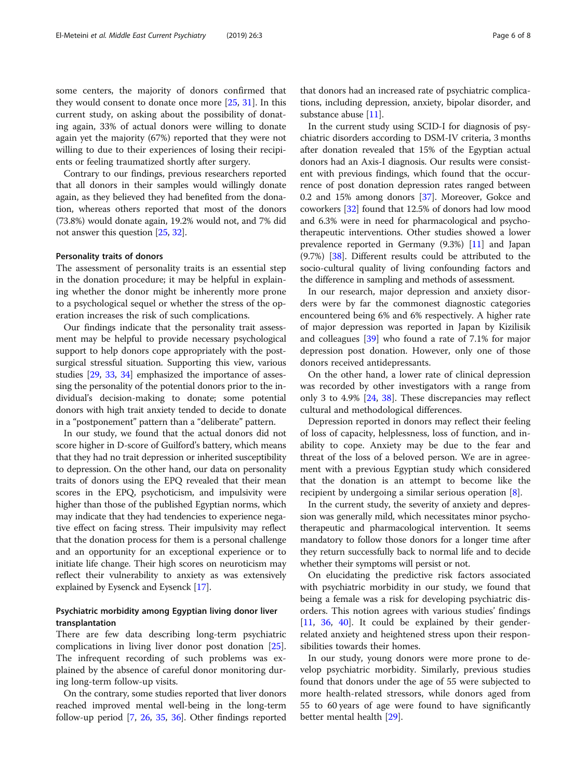some centers, the majority of donors confirmed that they would consent to donate once more [\[25,](#page-7-0) [31\]](#page-7-0). In this current study, on asking about the possibility of donating again, 33% of actual donors were willing to donate again yet the majority (67%) reported that they were not willing to due to their experiences of losing their recipients or feeling traumatized shortly after surgery.

Contrary to our findings, previous researchers reported that all donors in their samples would willingly donate again, as they believed they had benefited from the donation, whereas others reported that most of the donors (73.8%) would donate again, 19.2% would not, and 7% did not answer this question [\[25](#page-7-0), [32](#page-7-0)].

#### Personality traits of donors

The assessment of personality traits is an essential step in the donation procedure; it may be helpful in explaining whether the donor might be inherently more prone to a psychological sequel or whether the stress of the operation increases the risk of such complications.

Our findings indicate that the personality trait assessment may be helpful to provide necessary psychological support to help donors cope appropriately with the postsurgical stressful situation. Supporting this view, various studies [\[29,](#page-7-0) [33](#page-7-0), [34\]](#page-7-0) emphasized the importance of assessing the personality of the potential donors prior to the individual's decision-making to donate; some potential donors with high trait anxiety tended to decide to donate in a "postponement" pattern than a "deliberate" pattern.

In our study, we found that the actual donors did not score higher in D-score of Guilford's battery, which means that they had no trait depression or inherited susceptibility to depression. On the other hand, our data on personality traits of donors using the EPQ revealed that their mean scores in the EPQ, psychoticism, and impulsivity were higher than those of the published Egyptian norms, which may indicate that they had tendencies to experience negative effect on facing stress. Their impulsivity may reflect that the donation process for them is a personal challenge and an opportunity for an exceptional experience or to initiate life change. Their high scores on neuroticism may reflect their vulnerability to anxiety as was extensively explained by Eysenck and Eysenck [[17](#page-7-0)].

# Psychiatric morbidity among Egyptian living donor liver transplantation

There are few data describing long-term psychiatric complications in living liver donor post donation [\[25](#page-7-0)]. The infrequent recording of such problems was explained by the absence of careful donor monitoring during long-term follow-up visits.

On the contrary, some studies reported that liver donors reached improved mental well-being in the long-term follow-up period [[7,](#page-7-0) [26](#page-7-0), [35,](#page-7-0) [36\]](#page-7-0). Other findings reported

that donors had an increased rate of psychiatric complications, including depression, anxiety, bipolar disorder, and substance abuse [[11](#page-7-0)].

In the current study using SCID-I for diagnosis of psychiatric disorders according to DSM-IV criteria, 3 months after donation revealed that 15% of the Egyptian actual donors had an Axis-I diagnosis. Our results were consistent with previous findings, which found that the occurrence of post donation depression rates ranged between 0.2 and 15% among donors [\[37](#page-7-0)]. Moreover, Gokce and coworkers [[32\]](#page-7-0) found that 12.5% of donors had low mood and 6.3% were in need for pharmacological and psychotherapeutic interventions. Other studies showed a lower prevalence reported in Germany (9.3%) [[11\]](#page-7-0) and Japan (9.7%) [\[38\]](#page-7-0). Different results could be attributed to the socio-cultural quality of living confounding factors and the difference in sampling and methods of assessment.

In our research, major depression and anxiety disorders were by far the commonest diagnostic categories encountered being 6% and 6% respectively. A higher rate of major depression was reported in Japan by Kizilisik and colleagues [\[39\]](#page-7-0) who found a rate of 7.1% for major depression post donation. However, only one of those donors received antidepressants.

On the other hand, a lower rate of clinical depression was recorded by other investigators with a range from only 3 to 4.9% [\[24,](#page-7-0) [38\]](#page-7-0). These discrepancies may reflect cultural and methodological differences.

Depression reported in donors may reflect their feeling of loss of capacity, helplessness, loss of function, and inability to cope. Anxiety may be due to the fear and threat of the loss of a beloved person. We are in agreement with a previous Egyptian study which considered that the donation is an attempt to become like the recipient by undergoing a similar serious operation [\[8\]](#page-7-0).

In the current study, the severity of anxiety and depression was generally mild, which necessitates minor psychotherapeutic and pharmacological intervention. It seems mandatory to follow those donors for a longer time after they return successfully back to normal life and to decide whether their symptoms will persist or not.

On elucidating the predictive risk factors associated with psychiatric morbidity in our study, we found that being a female was a risk for developing psychiatric disorders. This notion agrees with various studies' findings [[11,](#page-7-0) [36,](#page-7-0) [40\]](#page-7-0). It could be explained by their genderrelated anxiety and heightened stress upon their responsibilities towards their homes.

In our study, young donors were more prone to develop psychiatric morbidity. Similarly, previous studies found that donors under the age of 55 were subjected to more health-related stressors, while donors aged from 55 to 60 years of age were found to have significantly better mental health [[29\]](#page-7-0).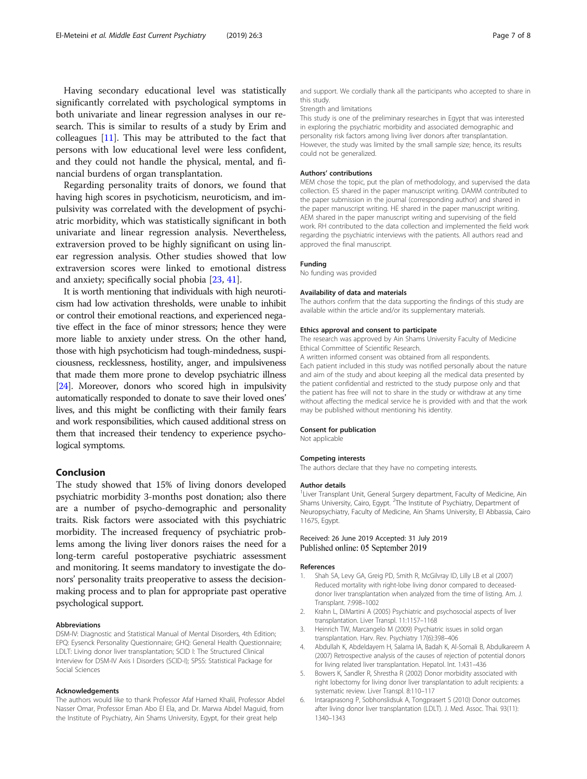<span id="page-6-0"></span>Having secondary educational level was statistically significantly correlated with psychological symptoms in both univariate and linear regression analyses in our research. This is similar to results of a study by Erim and colleagues [[11](#page-7-0)]. This may be attributed to the fact that persons with low educational level were less confident, and they could not handle the physical, mental, and financial burdens of organ transplantation.

Regarding personality traits of donors, we found that having high scores in psychoticism, neuroticism, and impulsivity was correlated with the development of psychiatric morbidity, which was statistically significant in both univariate and linear regression analysis. Nevertheless, extraversion proved to be highly significant on using linear regression analysis. Other studies showed that low extraversion scores were linked to emotional distress and anxiety; specifically social phobia [\[23](#page-7-0), [41](#page-7-0)].

It is worth mentioning that individuals with high neuroticism had low activation thresholds, were unable to inhibit or control their emotional reactions, and experienced negative effect in the face of minor stressors; hence they were more liable to anxiety under stress. On the other hand, those with high psychoticism had tough-mindedness, suspiciousness, recklessness, hostility, anger, and impulsiveness that made them more prone to develop psychiatric illness [[24](#page-7-0)]. Moreover, donors who scored high in impulsivity automatically responded to donate to save their loved ones' lives, and this might be conflicting with their family fears and work responsibilities, which caused additional stress on them that increased their tendency to experience psychological symptoms.

#### Conclusion

The study showed that 15% of living donors developed psychiatric morbidity 3-months post donation; also there are a number of psycho-demographic and personality traits. Risk factors were associated with this psychiatric morbidity. The increased frequency of psychiatric problems among the living liver donors raises the need for a long-term careful postoperative psychiatric assessment and monitoring. It seems mandatory to investigate the donors' personality traits preoperative to assess the decisionmaking process and to plan for appropriate past operative psychological support.

#### Abbreviations

DSM-IV: Diagnostic and Statistical Manual of Mental Disorders, 4th Edition; EPQ: Eysenck Personality Questionnaire; GHQ: General Health Questionnaire; LDLT: Living donor liver transplantation; SCID I: The Structured Clinical Interview for DSM-IV Axis I Disorders (SCID-I); SPSS: Statistical Package for Social Sciences

#### Acknowledgements

The authors would like to thank Professor Afaf Hamed Khalil, Professor Abdel Nasser Omar, Professor Eman Abo El Ela, and Dr. Marwa Abdel Maguid, from the Institute of Psychiatry, Ain Shams University, Egypt, for their great help

and support. We cordially thank all the participants who accepted to share in this study.

#### Strength and limitations

This study is one of the preliminary researches in Egypt that was interested in exploring the psychiatric morbidity and associated demographic and personality risk factors among living liver donors after transplantation. However, the study was limited by the small sample size; hence, its results could not be generalized.

#### Authors' contributions

MEM chose the topic, put the plan of methodology, and supervised the data collection. ES shared in the paper manuscript writing. DAMM contributed to the paper submission in the journal (corresponding author) and shared in the paper manuscript writing. HE shared in the paper manuscript writing. AEM shared in the paper manuscript writing and supervising of the field work. RH contributed to the data collection and implemented the field work regarding the psychiatric interviews with the patients. All authors read and approved the final manuscript.

#### Funding

No funding was provided

#### Availability of data and materials

The authors confirm that the data supporting the findings of this study are available within the article and/or its supplementary materials.

#### Ethics approval and consent to participate

The research was approved by Ain Shams University Faculty of Medicine Ethical Committee of Scientific Research.

A written informed consent was obtained from all respondents. Each patient included in this study was notified personally about the nature and aim of the study and about keeping all the medical data presented by the patient confidential and restricted to the study purpose only and that the patient has free will not to share in the study or withdraw at any time without affecting the medical service he is provided with and that the work may be published without mentioning his identity.

#### Consent for publication

Not applicable

#### Competing interests

The authors declare that they have no competing interests.

#### Author details

<sup>1</sup> Liver Transplant Unit, General Surgery department, Faculty of Medicine, Ain Shams University, Cairo, Egypt. <sup>2</sup>The Institute of Psychiatry, Department of Neuropsychiatry, Faculty of Medicine, Ain Shams University, El Abbassia, Cairo 11675, Egypt.

#### Received: 26 June 2019 Accepted: 31 July 2019 Published online: 05 September 2019

#### References

- 1. Shah SA, Levy GA, Greig PD, Smith R, McGilvray ID, Lilly LB et al (2007) Reduced mortality with right-lobe living donor compared to deceaseddonor liver transplantation when analyzed from the time of listing. Am. J. Transplant. 7:998–1002
- 2. Krahn L, DiMartini A (2005) Psychiatric and psychosocial aspects of liver transplantation. Liver Transpl. 11:1157–1168
- 3. Heinrich TW, Marcangelo M (2009) Psychiatric issues in solid organ transplantation. Harv. Rev. Psychiatry 17(6):398–406
- 4. Abdullah K, Abdeldayem H, Salama IA, Badah K, Al-Somali B, Abdulkareem A (2007) Retrospective analysis of the causes of rejection of potential donors for living related liver transplantation. Hepatol. Int. 1:431–436
- 5. Bowers K, Sandler R, Shrestha R (2002) Donor morbidity associated with right lobectomy for living donor liver transplantation to adult recipients: a systematic review. Liver Transpl. 8:110–117
- 6. Intaraprasong P, Sobhonslidsuk A, Tongprasert S (2010) Donor outcomes after living donor liver transplantation (LDLT). J. Med. Assoc. Thai. 93(11): 1340–1343